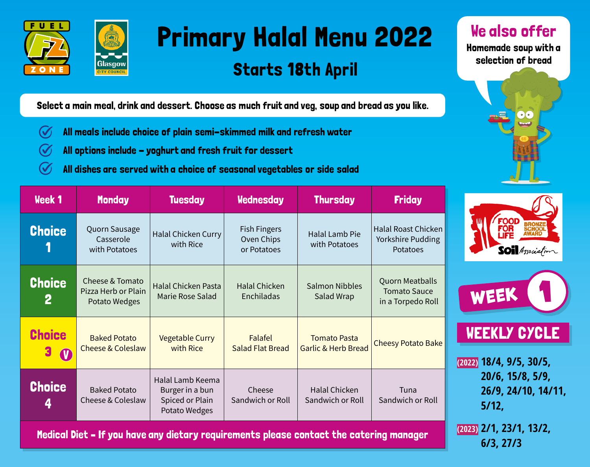



## Primary Halal Menu 2022

## Starts 18th April

We also offer

Homemade soup with a selection of bread



**6/3, 27/3**

Select a main meal, drink and dessert. Choose as much fruit and veg, soup and bread as you like.

- $\bigcirc$ All meals include choice of plain semi-skimmed milk and refresh water
- All options include yoghurt and fresh fruit for dessert  $\checkmark$
- All dishes are served with a choice of seasonal vegetables or side salad (V

| <b>Week 1</b>                   | <b>Monday</b>                                           | <b>Tuesday</b>                                                          | <b>Wednesday</b>                                 | <b>Thursday</b>                                       | <b>Friday</b>                                                      |                                                  |
|---------------------------------|---------------------------------------------------------|-------------------------------------------------------------------------|--------------------------------------------------|-------------------------------------------------------|--------------------------------------------------------------------|--------------------------------------------------|
| <b>Choice</b>                   | Quorn Sausage<br>Casserole<br>with Potatoes             | <b>Halal Chicken Curry</b><br>with Rice                                 | <b>Fish Fingers</b><br>Oven Chips<br>or Potatoes | Halal Lamb Pie<br>with Potatoes                       | Halal Roast Chicken<br>Yorkshire Pudding<br><b>Potatoes</b>        | <b>FOOD</b><br><b>SOI</b> Association            |
| <b>Choice</b><br>$\mathbf{2}$   | Cheese & Tomato<br>Pizza Herb or Plain<br>Potato Wedges | <b>Halal Chicken Pasta</b><br>Marie Rose Salad                          | <b>Halal Chicken</b><br>Enchiladas               | <b>Salmon Nibbles</b><br>Salad Wrap                   | <b>Quorn Meatballs</b><br><b>Tomato Sauce</b><br>in a Torpedo Roll | WEEK                                             |
| <b>Choice</b><br>3<br>$\bullet$ | <b>Baked Potato</b><br><b>Cheese &amp; Coleslaw</b>     | <b>Vegetable Curry</b><br>with Rice                                     | Falafel<br><b>Salad Flat Bread</b>               | <b>Tomato Pasta</b><br><b>Garlic &amp; Herb Bread</b> | <b>Cheesy Potato Bake</b>                                          | <b>WEEKLY CYCLE</b><br>$(2022)$ 18/4, 9/5, 30/5, |
| <b>Choice</b><br>4              | <b>Baked Potato</b><br>Cheese & Coleslaw                | Halal Lamb Keema<br>Burger in a bun<br>Spiced or Plain<br>Potato Wedges | Cheese<br>Sandwich or Roll                       | Halal Chicken<br>Sandwich or Roll                     | Tuna<br>Sandwich or Roll                                           | 20/6, 15/8, 5/9,<br>26/9, 24/10, 14/11,<br>5/12, |
| Maghazi Nati                    | $(2023)$ 2/1, 23/1, 13/2,                               |                                                                         |                                                  |                                                       |                                                                    |                                                  |

Medical Diet – If you have any dietary requirements please contact the catering manager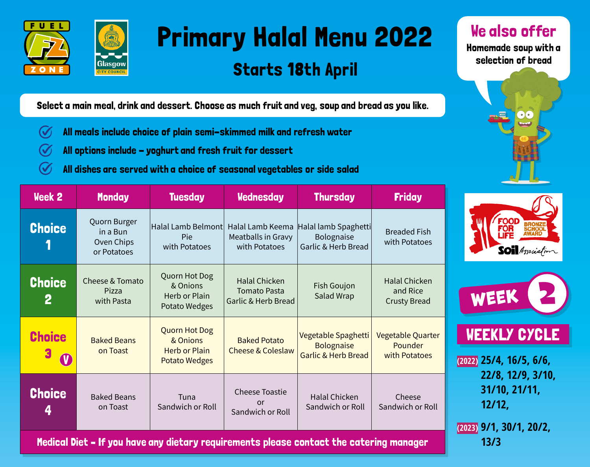

Glasgow



## Starts 18th April

We also offer

Homemade soup with a selection of bread



**13/3**

Select a main meal, drink and dessert. Choose as much fruit and veg, soup and bread as you like.

- $\bm{V}$ All meals include choice of plain semi-skimmed milk and refresh water
- All options include yoghurt and fresh fruit for dessert (V)
- All dishes are served with a choice of seasonal vegetables or side salad

| <b>Week 2</b>                 | <b>Monday</b>                                         | <b>Tuesday</b>                                                                   | <b>Wednesday</b>                                                   | <b>Thursday</b>                                                 | <b>Friday</b>                                           |                                                                           |
|-------------------------------|-------------------------------------------------------|----------------------------------------------------------------------------------|--------------------------------------------------------------------|-----------------------------------------------------------------|---------------------------------------------------------|---------------------------------------------------------------------------|
| <b>Choice</b>                 | Quorn Burger<br>in a Bun<br>Oven Chips<br>or Potatoes | Halal Lamb Belmont<br>Pie<br>with Potatoes                                       | Halal Lamb Keema<br>Meatballs in Gravy<br>with Potatoes            | Halal lamb Spaghetti<br>Bolognaise<br>Garlic & Herb Bread       | <b>Breaded Fish</b><br>with Potatoes                    | <b>FOOD</b><br>FOR<br><b>SOI</b> Association                              |
| <b>Choice</b><br>$\mathbf{2}$ | Cheese & Tomato<br>Pizza<br>with Pasta                | Quorn Hot Dog<br>& Onions<br>Herb or Plain<br>Potato Wedges                      | <b>Halal Chicken</b><br><b>Tomato Pasta</b><br>Garlic & Herb Bread | Fish Goujon<br>Salad Wrap                                       | <b>Halal Chicken</b><br>and Rice<br><b>Crusty Bread</b> | WEEK                                                                      |
| <b>Choice</b>                 | <b>Baked Beans</b><br>on Toast                        | <b>Quorn Hot Dog</b><br>& Onions<br><b>Herb or Plain</b><br><b>Potato Wedges</b> | <b>Baked Potato</b><br><b>Cheese &amp; Coleslaw</b>                | Vegetable Spaghetti<br><b>Bolognaise</b><br>Garlic & Herb Bread | Vegetable Quarter<br>Pounder<br>with Potatoes           | <b>WEEKLY CYCLE</b><br>$(2022)$ 25/4, 16/5, 6/6,                          |
| <b>Choice</b><br>4            | <b>Baked Beans</b><br>on Toast                        | Tuna<br>Sandwich or Roll                                                         | <b>Cheese Toastie</b><br><b>or</b><br>Sandwich or Roll             | Halal Chicken<br>Sandwich or Roll                               | Cheese<br>Sandwich or Roll                              | 22/8, 12/9, 3/10,<br>31/10, 21/11,<br>12/12,<br>$(2023)$ 9/1, 30/1, 20/2, |

Medical Diet – If you have any dietary requirements please contact the catering manager